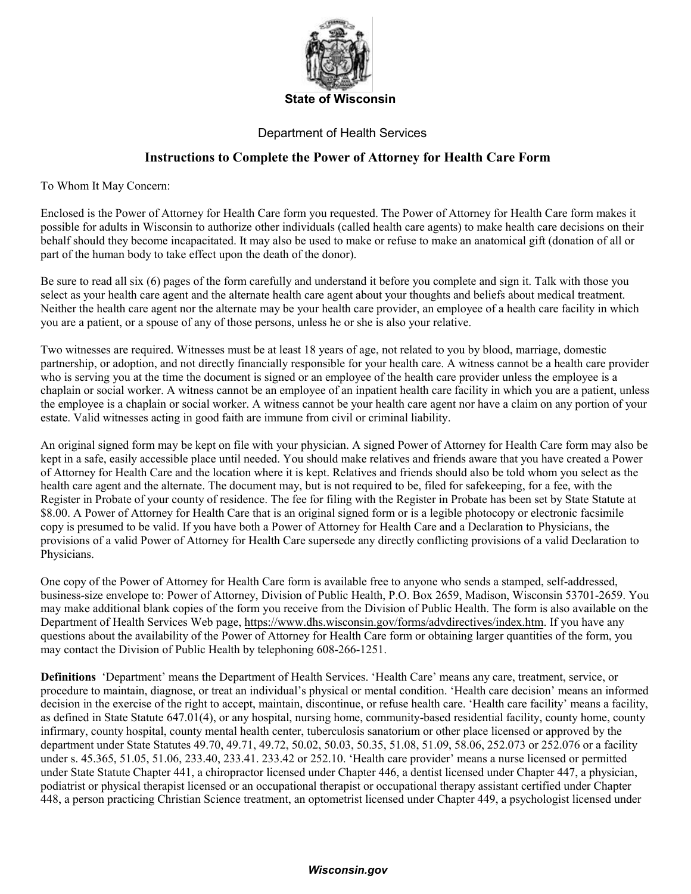

# Department of Health Services

# **Instructions to Complete the Power of Attorney for Health Care Form**

To Whom It May Concern:

Enclosed is the Power of Attorney for Health Care form you requested. The Power of Attorney for Health Care form makes it possible for adults in Wisconsin to authorize other individuals (called health care agents) to make health care decisions on their behalf should they become incapacitated. It may also be used to make or refuse to make an anatomical gift (donation of all or part of the human body to take effect upon the death of the donor).

Be sure to read all six (6) pages of the form carefully and understand it before you complete and sign it. Talk with those you select as your health care agent and the alternate health care agent about your thoughts and beliefs about medical treatment. Neither the health care agent nor the alternate may be your health care provider, an employee of a health care facility in which you are a patient, or a spouse of any of those persons, unless he or she is also your relative.

Two witnesses are required. Witnesses must be at least 18 years of age, not related to you by blood, marriage, domestic partnership, or adoption, and not directly financially responsible for your health care. A witness cannot be a health care provider who is serving you at the time the document is signed or an employee of the health care provider unless the employee is a chaplain or social worker. A witness cannot be an employee of an inpatient health care facility in which you are a patient, unless the employee is a chaplain or social worker. A witness cannot be your health care agent nor have a claim on any portion of your estate. Valid witnesses acting in good faith are immune from civil or criminal liability.

An original signed form may be kept on file with your physician. A signed Power of Attorney for Health Care form may also be kept in a safe, easily accessible place until needed. You should make relatives and friends aware that you have created a Power of Attorney for Health Care and the location where it is kept. Relatives and friends should also be told whom you select as the health care agent and the alternate. The document may, but is not required to be, filed for safekeeping, for a fee, with the Register in Probate of your county of residence. The fee for filing with the Register in Probate has been set by State Statute at \$8.00. A Power of Attorney for Health Care that is an original signed form or is a legible photocopy or electronic facsimile copy is presumed to be valid. If you have both a Power of Attorney for Health Care and a Declaration to Physicians, the provisions of a valid Power of Attorney for Health Care supersede any directly conflicting provisions of a valid Declaration to Physicians.

One copy of the Power of Attorney for Health Care form is available free to anyone who sends a stamped, self-addressed, business-size envelope to: Power of Attorney, Division of Public Health, P.O. Box 2659, Madison, Wisconsin 53701-2659. You may make additional blank copies of the form you receive from the Division of Public Health. The form is also available on the Department of Health Services Web page, https://www.dhs.wisconsin.gov/forms/advdirectives/index.htm. If you have any questions about the availability of the Power of Attorney for Health Care form or obtaining larger quantities of the form, you may contact the Division of Public Health by telephoning 608-266-1251.

**Definitions** 'Department' means the Department of Health Services. 'Health Care' means any care, treatment, service, or procedure to maintain, diagnose, or treat an individual's physical or mental condition. 'Health care decision' means an informed decision in the exercise of the right to accept, maintain, discontinue, or refuse health care. 'Health care facility' means a facility, as defined in State Statute 647.01(4), or any hospital, nursing home, community-based residential facility, county home, county infirmary, county hospital, county mental health center, tuberculosis sanatorium or other place licensed or approved by the department under State Statutes 49.70, 49.71, 49.72, 50.02, 50.03, 50.35, 51.08, 51.09, 58.06, 252.073 or 252.076 or a facility under s. 45.365, 51.05, 51.06, 233.40, 233.41. 233.42 or 252.10. 'Health care provider' means a nurse licensed or permitted under State Statute Chapter 441, a chiropractor licensed under Chapter 446, a dentist licensed under Chapter 447, a physician, podiatrist or physical therapist licensed or an occupational therapist or occupational therapy assistant certified under Chapter 448, a person practicing Christian Science treatment, an optometrist licensed under Chapter 449, a psychologist licensed under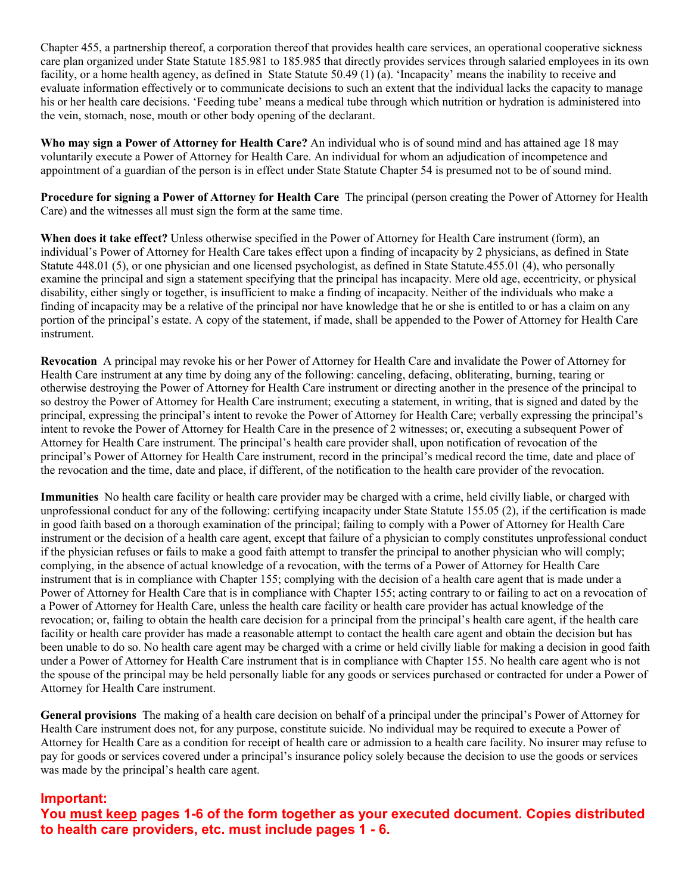Chapter 455, a partnership thereof, a corporation thereof that provides health care services, an operational cooperative sickness care plan organized under State Statute 185.981 to 185.985 that directly provides services through salaried employees in its own facility, or a home health agency, as defined in State Statute 50.49 (1) (a). 'Incapacity' means the inability to receive and evaluate information effectively or to communicate decisions to such an extent that the individual lacks the capacity to manage his or her health care decisions. 'Feeding tube' means a medical tube through which nutrition or hydration is administered into the vein, stomach, nose, mouth or other body opening of the declarant.

**Who may sign a Power of Attorney for Health Care?** An individual who is of sound mind and has attained age 18 may voluntarily execute a Power of Attorney for Health Care. An individual for whom an adjudication of incompetence and appointment of a guardian of the person is in effect under State Statute Chapter 54 is presumed not to be of sound mind.

**Procedure for signing a Power of Attorney for Health Care** The principal (person creating the Power of Attorney for Health Care) and the witnesses all must sign the form at the same time.

**When does it take effect?** Unless otherwise specified in the Power of Attorney for Health Care instrument (form), an individual's Power of Attorney for Health Care takes effect upon a finding of incapacity by 2 physicians, as defined in State Statute 448.01 (5), or one physician and one licensed psychologist, as defined in State Statute.455.01 (4), who personally examine the principal and sign a statement specifying that the principal has incapacity. Mere old age, eccentricity, or physical disability, either singly or together, is insufficient to make a finding of incapacity. Neither of the individuals who make a finding of incapacity may be a relative of the principal nor have knowledge that he or she is entitled to or has a claim on any portion of the principal's estate. A copy of the statement, if made, shall be appended to the Power of Attorney for Health Care instrument.

**Revocation** A principal may revoke his or her Power of Attorney for Health Care and invalidate the Power of Attorney for Health Care instrument at any time by doing any of the following: canceling, defacing, obliterating, burning, tearing or otherwise destroying the Power of Attorney for Health Care instrument or directing another in the presence of the principal to so destroy the Power of Attorney for Health Care instrument; executing a statement, in writing, that is signed and dated by the principal, expressing the principal's intent to revoke the Power of Attorney for Health Care; verbally expressing the principal's intent to revoke the Power of Attorney for Health Care in the presence of 2 witnesses; or, executing a subsequent Power of Attorney for Health Care instrument. The principal's health care provider shall, upon notification of revocation of the principal's Power of Attorney for Health Care instrument, record in the principal's medical record the time, date and place of the revocation and the time, date and place, if different, of the notification to the health care provider of the revocation.

**Immunities** No health care facility or health care provider may be charged with a crime, held civilly liable, or charged with unprofessional conduct for any of the following: certifying incapacity under State Statute 155.05 (2), if the certification is made in good faith based on a thorough examination of the principal; failing to comply with a Power of Attorney for Health Care instrument or the decision of a health care agent, except that failure of a physician to comply constitutes unprofessional conduct if the physician refuses or fails to make a good faith attempt to transfer the principal to another physician who will comply; complying, in the absence of actual knowledge of a revocation, with the terms of a Power of Attorney for Health Care instrument that is in compliance with Chapter 155; complying with the decision of a health care agent that is made under a Power of Attorney for Health Care that is in compliance with Chapter 155; acting contrary to or failing to act on a revocation of a Power of Attorney for Health Care, unless the health care facility or health care provider has actual knowledge of the revocation; or, failing to obtain the health care decision for a principal from the principal's health care agent, if the health care facility or health care provider has made a reasonable attempt to contact the health care agent and obtain the decision but has been unable to do so. No health care agent may be charged with a crime or held civilly liable for making a decision in good faith under a Power of Attorney for Health Care instrument that is in compliance with Chapter 155. No health care agent who is not the spouse of the principal may be held personally liable for any goods or services purchased or contracted for under a Power of Attorney for Health Care instrument.

**General provisions** The making of a health care decision on behalf of a principal under the principal's Power of Attorney for Health Care instrument does not, for any purpose, constitute suicide. No individual may be required to execute a Power of Attorney for Health Care as a condition for receipt of health care or admission to a health care facility. No insurer may refuse to pay for goods or services covered under a principal's insurance policy solely because the decision to use the goods or services was made by the principal's health care agent.

#### **Important:**

**You must keep pages 1-6 of the form together as your executed document. Copies distributed to health care providers, etc. must include pages 1 - 6.**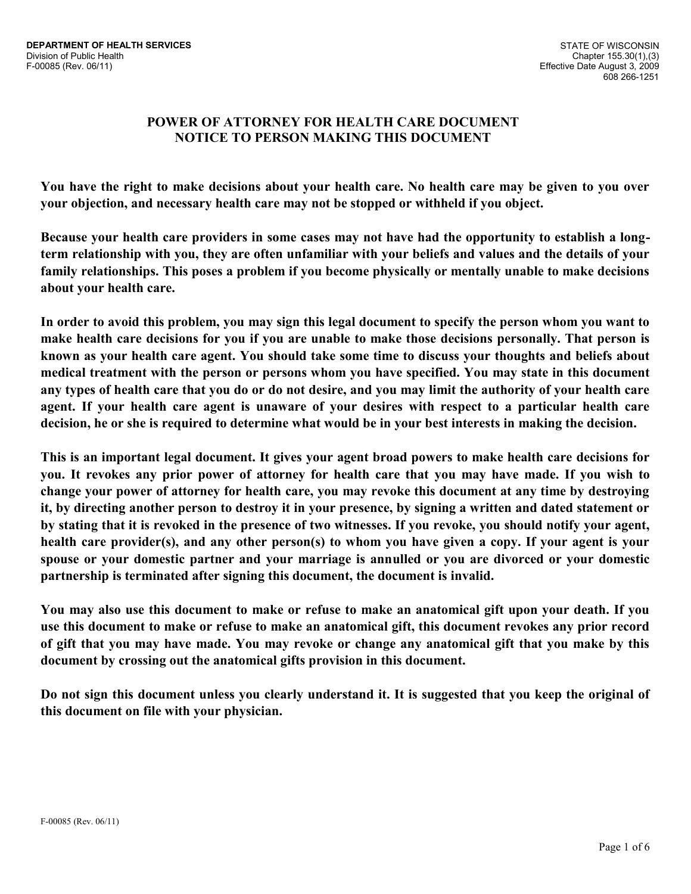## **POWER OF ATTORNEY FOR HEALTH CARE DOCUMENT NOTICE TO PERSON MAKING THIS DOCUMENT**

**You have the right to make decisions about your health care. No health care may be given to you over your objection, and necessary health care may not be stopped or withheld if you object.** 

**Because your health care providers in some cases may not have had the opportunity to establish a longterm relationship with you, they are often unfamiliar with your beliefs and values and the details of your family relationships. This poses a problem if you become physically or mentally unable to make decisions about your health care.** 

**In order to avoid this problem, you may sign this legal document to specify the person whom you want to make health care decisions for you if you are unable to make those decisions personally. That person is known as your health care agent. You should take some time to discuss your thoughts and beliefs about medical treatment with the person or persons whom you have specified. You may state in this document any types of health care that you do or do not desire, and you may limit the authority of your health care agent. If your health care agent is unaware of your desires with respect to a particular health care decision, he or she is required to determine what would be in your best interests in making the decision.** 

**This is an important legal document. It gives your agent broad powers to make health care decisions for you. It revokes any prior power of attorney for health care that you may have made. If you wish to change your power of attorney for health care, you may revoke this document at any time by destroying it, by directing another person to destroy it in your presence, by signing a written and dated statement or by stating that it is revoked in the presence of two witnesses. If you revoke, you should notify your agent, health care provider(s), and any other person(s) to whom you have given a copy. If your agent is your spouse or your domestic partner and your marriage is annulled or you are divorced or your domestic partnership is terminated after signing this document, the document is invalid.** 

**You may also use this document to make or refuse to make an anatomical gift upon your death. If you use this document to make or refuse to make an anatomical gift, this document revokes any prior record of gift that you may have made. You may revoke or change any anatomical gift that you make by this document by crossing out the anatomical gifts provision in this document.** 

**Do not sign this document unless you clearly understand it. It is suggested that you keep the original of this document on file with your physician.**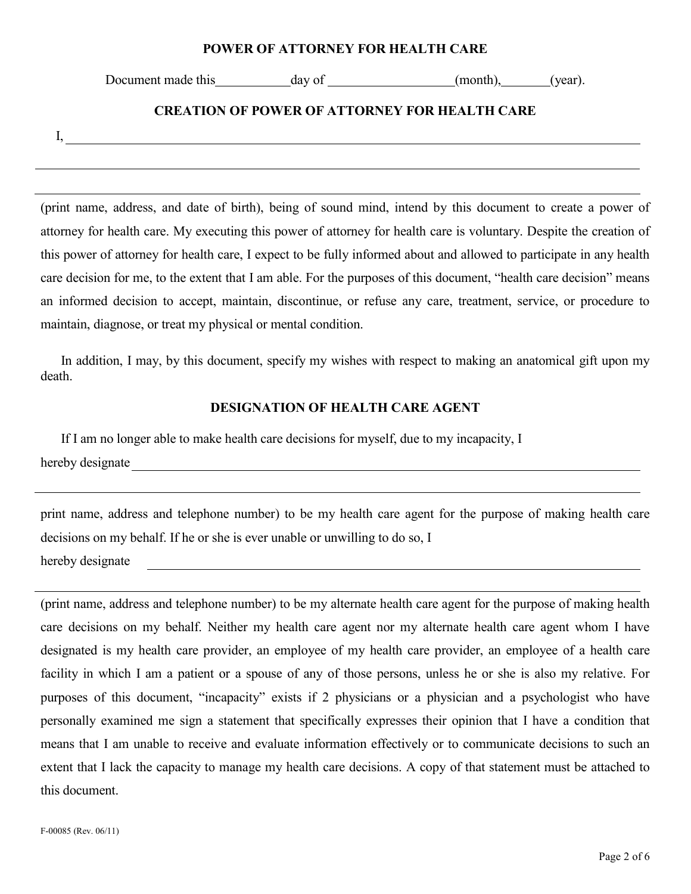#### **POWER OF ATTORNEY FOR HEALTH CARE**

| Document made this | dav of | (month). | vear |
|--------------------|--------|----------|------|
|--------------------|--------|----------|------|

## **CREATION OF POWER OF ATTORNEY FOR HEALTH CARE**

I,

(print name, address, and date of birth), being of sound mind, intend by this document to create a power of attorney for health care. My executing this power of attorney for health care is voluntary. Despite the creation of this power of attorney for health care, I expect to be fully informed about and allowed to participate in any health care decision for me, to the extent that I am able. For the purposes of this document, "health care decision" means an informed decision to accept, maintain, discontinue, or refuse any care, treatment, service, or procedure to maintain, diagnose, or treat my physical or mental condition.

In addition, I may, by this document, specify my wishes with respect to making an anatomical gift upon my death.

### **DESIGNATION OF HEALTH CARE AGENT**

If I am no longer able to make health care decisions for myself, due to my incapacity, I hereby designate and the state of the state of the state of the state of the state of the state of the state of the state of the state of the state of the state of the state of the state of the state of the state of the st

print name, address and telephone number) to be my health care agent for the purpose of making health care decisions on my behalf. If he or she is ever unable or unwilling to do so, I

hereby designate

(print name, address and telephone number) to be my alternate health care agent for the purpose of making health care decisions on my behalf. Neither my health care agent nor my alternate health care agent whom I have designated is my health care provider, an employee of my health care provider, an employee of a health care facility in which I am a patient or a spouse of any of those persons, unless he or she is also my relative. For purposes of this document, "incapacity" exists if 2 physicians or a physician and a psychologist who have personally examined me sign a statement that specifically expresses their opinion that I have a condition that means that I am unable to receive and evaluate information effectively or to communicate decisions to such an extent that I lack the capacity to manage my health care decisions. A copy of that statement must be attached to this document.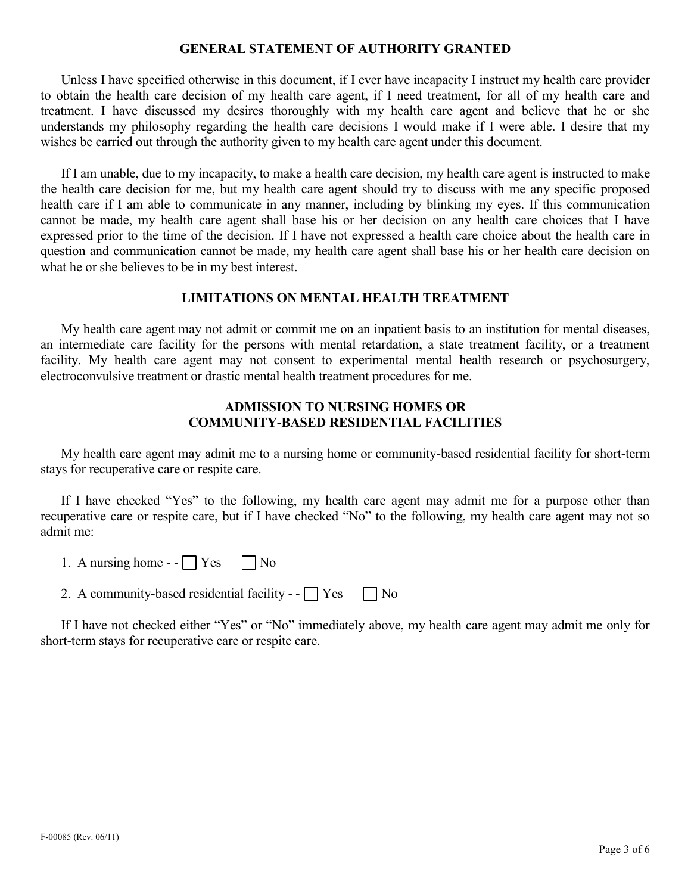#### **GENERAL STATEMENT OF AUTHORITY GRANTED**

 Unless I have specified otherwise in this document, if I ever have incapacity I instruct my health care provider to obtain the health care decision of my health care agent, if I need treatment, for all of my health care and treatment. I have discussed my desires thoroughly with my health care agent and believe that he or she understands my philosophy regarding the health care decisions I would make if I were able. I desire that my wishes be carried out through the authority given to my health care agent under this document.

 If I am unable, due to my incapacity, to make a health care decision, my health care agent is instructed to make the health care decision for me, but my health care agent should try to discuss with me any specific proposed health care if I am able to communicate in any manner, including by blinking my eyes. If this communication cannot be made, my health care agent shall base his or her decision on any health care choices that I have expressed prior to the time of the decision. If I have not expressed a health care choice about the health care in question and communication cannot be made, my health care agent shall base his or her health care decision on what he or she believes to be in my best interest.

#### **LIMITATIONS ON MENTAL HEALTH TREATMENT**

 My health care agent may not admit or commit me on an inpatient basis to an institution for mental diseases, an intermediate care facility for the persons with mental retardation, a state treatment facility, or a treatment facility. My health care agent may not consent to experimental mental health research or psychosurgery, electroconvulsive treatment or drastic mental health treatment procedures for me.

#### **ADMISSION TO NURSING HOMES OR COMMUNITY-BASED RESIDENTIAL FACILITIES**

 My health care agent may admit me to a nursing home or community-based residential facility for short-term stays for recuperative care or respite care.

 If I have checked "Yes" to the following, my health care agent may admit me for a purpose other than recuperative care or respite care, but if I have checked "No" to the following, my health care agent may not so admit me:

1. A nursing home  $\Box$  Yes  $\Box$  No

2. A community-based residential facility -  $\Box$  Yes  $\Box$  No

 If I have not checked either "Yes" or "No" immediately above, my health care agent may admit me only for short-term stays for recuperative care or respite care.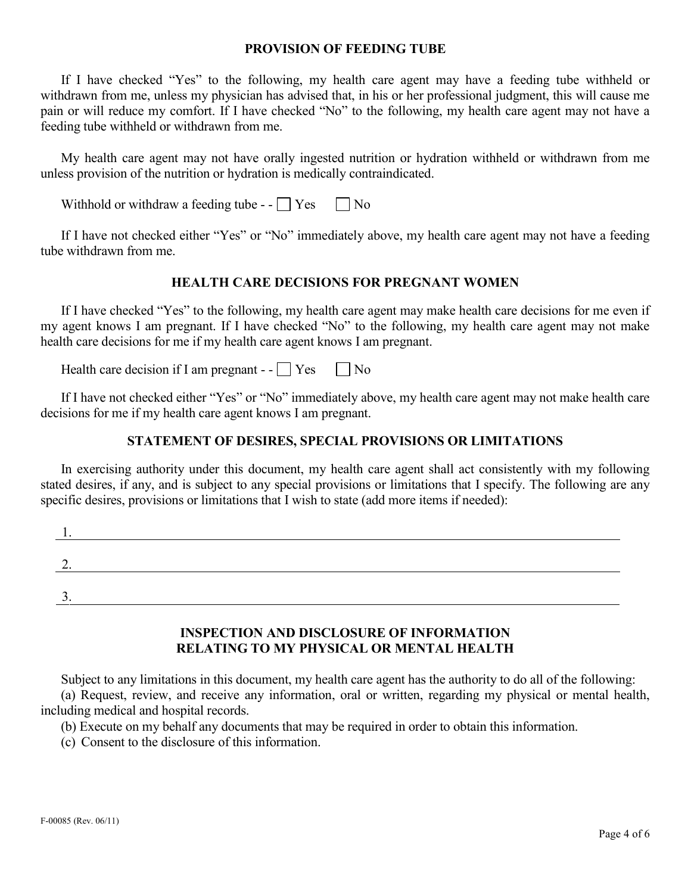#### **PROVISION OF FEEDING TUBE**

 If I have checked "Yes" to the following, my health care agent may have a feeding tube withheld or withdrawn from me, unless my physician has advised that, in his or her professional judgment, this will cause me pain or will reduce my comfort. If I have checked "No" to the following, my health care agent may not have a feeding tube withheld or withdrawn from me.

 My health care agent may not have orally ingested nutrition or hydration withheld or withdrawn from me unless provision of the nutrition or hydration is medically contraindicated.

Withhold or withdraw a feeding tube  $\text{-}$   $\Box$  Yes  $\Box$  No

 If I have not checked either "Yes" or "No" immediately above, my health care agent may not have a feeding tube withdrawn from me.

#### **HEALTH CARE DECISIONS FOR PREGNANT WOMEN**

 If I have checked "Yes" to the following, my health care agent may make health care decisions for me even if my agent knows I am pregnant. If I have checked "No" to the following, my health care agent may not make health care decisions for me if my health care agent knows I am pregnant.

Health care decision if I am pregnant  $\Box$  Yes  $\Box$  No

 If I have not checked either "Yes" or "No" immediately above, my health care agent may not make health care decisions for me if my health care agent knows I am pregnant.

### **STATEMENT OF DESIRES, SPECIAL PROVISIONS OR LIMITATIONS**

 In exercising authority under this document, my health care agent shall act consistently with my following stated desires, if any, and is subject to any special provisions or limitations that I specify. The following are any specific desires, provisions or limitations that I wish to state (add more items if needed):

## **INSPECTION AND DISCLOSURE OF INFORMATION RELATING TO MY PHYSICAL OR MENTAL HEALTH**

Subject to any limitations in this document, my health care agent has the authority to do all of the following:

(a) Request, review, and receive any information, oral or written, regarding my physical or mental health, including medical and hospital records.

(b) Execute on my behalf any documents that may be required in order to obtain this information.

(c) Consent to the disclosure of this information.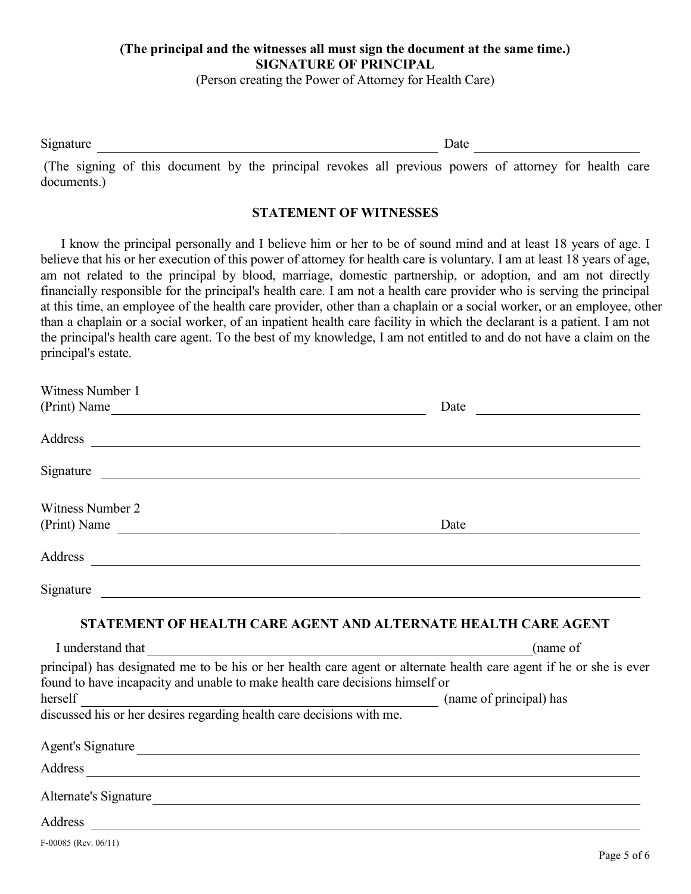# **(The principal and the witnesses all must sign the document at the same time.) SIGNATURE OF PRINCIPAL**

(Person creating the Power of Attorney for Health Care)

Signature Date

 (The signing of this document by the principal revokes all previous powers of attorney for health care documents.)

#### **STATEMENT OF WITNESSES**

 I know the principal personally and I believe him or her to be of sound mind and at least 18 years of age. I believe that his or her execution of this power of attorney for health care is voluntary. I am at least 18 years of age, am not related to the principal by blood, marriage, domestic partnership, or adoption, and am not directly financially responsible for the principal's health care. I am not a health care provider who is serving the principal at this time, an employee of the health care provider, other than a chaplain or a social worker, or an employee, other than a chaplain or a social worker, of an inpatient health care facility in which the declarant is a patient. I am not the principal's health care agent. To the best of my knowledge, I am not entitled to and do not have a claim on the principal's estate.

| Witness Number 1                                                             |                                                                                                                                                                                                                                |
|------------------------------------------------------------------------------|--------------------------------------------------------------------------------------------------------------------------------------------------------------------------------------------------------------------------------|
| (Print) Name                                                                 | Date                                                                                                                                                                                                                           |
|                                                                              |                                                                                                                                                                                                                                |
| Signature                                                                    |                                                                                                                                                                                                                                |
| Witness Number 2                                                             |                                                                                                                                                                                                                                |
| (Print) Name                                                                 | Date                                                                                                                                                                                                                           |
|                                                                              |                                                                                                                                                                                                                                |
|                                                                              |                                                                                                                                                                                                                                |
|                                                                              | STATEMENT OF HEALTH CARE AGENT AND ALTERNATE HEALTH CARE AGENT                                                                                                                                                                 |
| I understand that                                                            | (name of                                                                                                                                                                                                                       |
| found to have incapacity and unable to make health care decisions himself or | principal) has designated me to be his or her health care agent or alternate health care agent if he or she is ever                                                                                                            |
|                                                                              |                                                                                                                                                                                                                                |
|                                                                              | herself<br>discussed his or her desires regarding health care decisions with me.<br>discussed his or her desires regarding health care decisions with me.                                                                      |
| Agent's Signature                                                            |                                                                                                                                                                                                                                |
|                                                                              | Address and the contract of the contract of the contract of the contract of the contract of the contract of the contract of the contract of the contract of the contract of the contract of the contract of the contract of th |
|                                                                              | Alternate's Signature                                                                                                                                                                                                          |
| Address<br><u> 1980 - Johann Stoff, fransk politik (d. 1980)</u>             |                                                                                                                                                                                                                                |